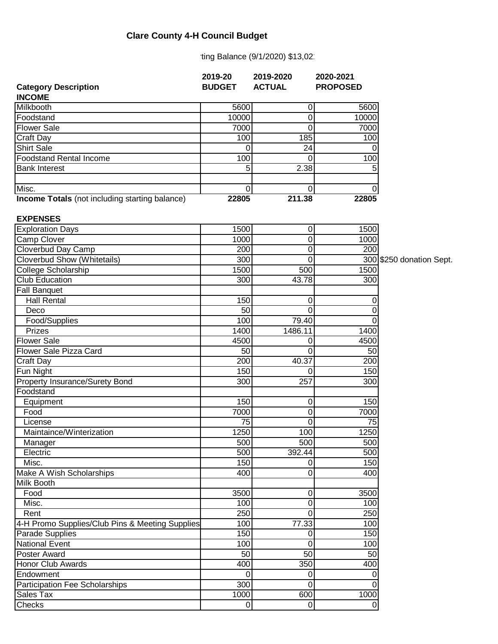## **Clare County 4-H Council Budget**

ting Balance (9/1/2020) \$13,02

|                                                       | 2019-20        | 2019-2020        | 2020-2021       |
|-------------------------------------------------------|----------------|------------------|-----------------|
| <b>Category Description</b>                           | <b>BUDGET</b>  | <b>ACTUAL</b>    | <b>PROPOSED</b> |
| <b>INCOME</b><br>Milkbooth                            | 5600           |                  |                 |
| Foodstand                                             | 10000          | 0<br>$\mathbf 0$ | 5600<br>10000   |
| <b>Flower Sale</b>                                    | 7000           | $\mathbf 0$      | 7000            |
|                                                       |                |                  |                 |
| Craft Day                                             | 100            | 185              | 100             |
| <b>Shirt Sale</b><br><b>Foodstand Rental Income</b>   | 0              | 24               | Ω               |
|                                                       | 100            | $\mathbf 0$      | 100             |
| <b>Bank Interest</b>                                  | 5              | 2.38             |                 |
| Misc.                                                 | $\overline{0}$ | 0                |                 |
| <b>Income Totals</b> (not including starting balance) | 22805          | 211.38           | 22805           |
| <b>EXPENSES</b>                                       |                |                  |                 |
| <b>Exploration Days</b>                               | 1500           | 0                | 1500            |
| Camp Clover                                           | 1000           | $\mathbf 0$      | 1000            |
| Cloverbud Day Camp                                    | 200            | $\mathbf 0$      | 200             |
| Cloverbud Show (Whitetails)                           | 300            | $\mathbf 0$      | 300 \$2         |
| College Scholarship                                   | 1500           | 500              | 1500            |
| Club Education                                        | 300            | 43.78            | 300             |
| <b>Fall Banquet</b>                                   |                |                  |                 |
| <b>Hall Rental</b>                                    | 150            | $\mathbf 0$      | 0               |
| Deco                                                  | 50             | $\overline{0}$   | 0               |
| Food/Supplies                                         | 100            | 79.40            | 0               |
| Prizes                                                | 1400           | 1486.11          | 1400            |
| <b>Flower Sale</b>                                    | 4500           | 0                | 4500            |
| Flower Sale Pizza Card                                | 50             | 0                | 50              |
| Craft Day                                             | 200            | 40.37            | 200             |
| Fun Night                                             | 150            | 0                | 150             |
| Property Insurance/Surety Bond                        | 300            | 257              | 300             |
| Foodstand                                             |                |                  |                 |
| Equipment                                             | 150            | 0                | 150             |
| Food                                                  | 7000           | 0                | 7000            |
| License                                               | 75             | 0                | 75              |
| Maintaince/Winterization                              | 1250           | 100              | 1250            |
| Manager                                               | 500            | 500              | 500             |
| Electric                                              | 500            | 392.44           | 500             |
| Misc.                                                 | 150            | 0                | 150             |
| Make A Wish Scholarships                              | 400            | 0                | 400             |
| <b>Milk Booth</b>                                     |                |                  |                 |
| Food                                                  | 3500           | 0                | 3500            |
| Misc.                                                 | 100            | 0                | 100             |
| Rent                                                  | 250            | 0                | 250             |
| 4-H Promo Supplies/Club Pins & Meeting Supplies       | 100            | 77.33            | 100             |
| Parade Supplies                                       | 150            | 0                | 150             |
| <b>National Event</b>                                 | 100            | 0                | 100             |
| Poster Award                                          | 50             | 50               | 50              |
| Honor Club Awards                                     | 400            | 350              | 400             |
| Endowment                                             | $\mathbf 0$    | 0                |                 |
| Participation Fee Scholarships                        | 300            | $\Omega$         | 0               |
| Sales Tax                                             | 1000           | 600              | 1000            |
| Checks                                                | $\mathbf 0$    | $\mathbf 0$      | 0               |

GO donation Sept.